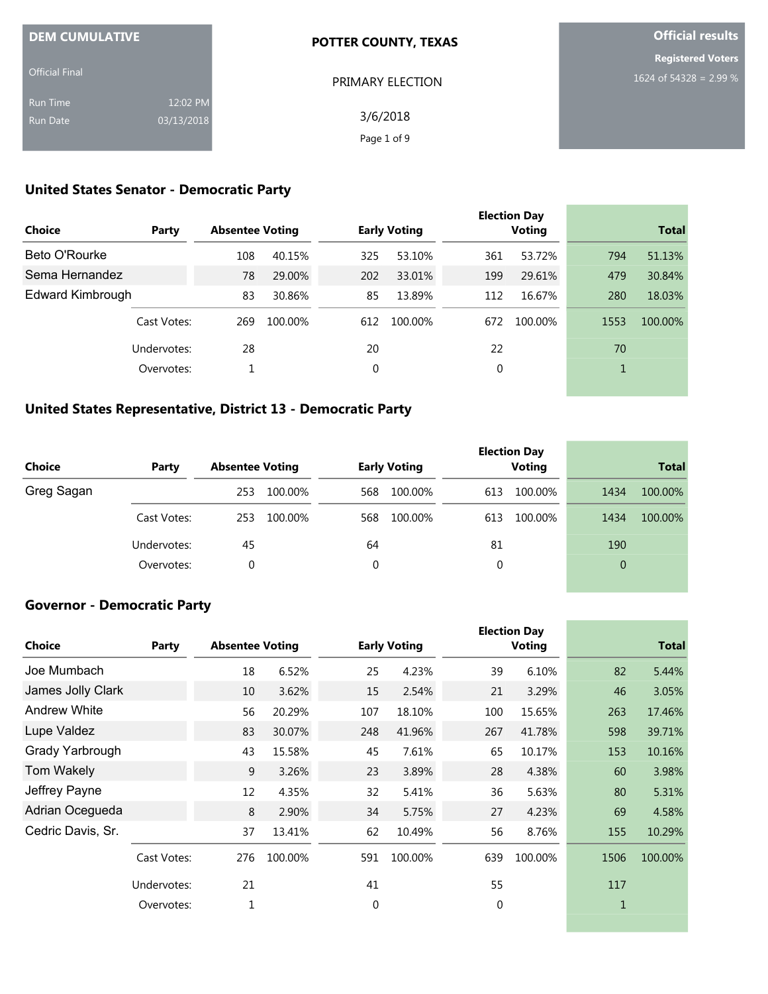| <b>DEM CUMULATIVE</b> |            | <b>POTTER COUNTY, TEXAS</b> | <b>Official results</b>  |  |  |
|-----------------------|------------|-----------------------------|--------------------------|--|--|
|                       |            |                             | <b>Registered Voters</b> |  |  |
| <b>Official Final</b> |            | PRIMARY ELECTION            | 1624 of 54328 = 2.99 %   |  |  |
| <b>Run Time</b>       | 12:02 PM   |                             |                          |  |  |
| <b>Run Date</b>       | 03/13/2018 | 3/6/2018                    |                          |  |  |
|                       |            | Page 1 of 9                 |                          |  |  |

# **United States Senator - Democratic Party**

|                      |             |                        |         |     |                     |     | <b>Election Day</b> |      |              |
|----------------------|-------------|------------------------|---------|-----|---------------------|-----|---------------------|------|--------------|
| <b>Choice</b>        | Party       | <b>Absentee Voting</b> |         |     | <b>Early Voting</b> |     | <b>Voting</b>       |      | <b>Total</b> |
| <b>Beto O'Rourke</b> |             | 108                    | 40.15%  | 325 | 53.10%              | 361 | 53.72%              | 794  | 51.13%       |
| Sema Hernandez       |             | 78                     | 29.00%  | 202 | 33.01%              | 199 | 29.61%              | 479  | 30.84%       |
| Edward Kimbrough     |             | 83                     | 30.86%  | 85  | 13.89%              | 112 | 16.67%              | 280  | 18.03%       |
|                      | Cast Votes: | 269                    | 100.00% | 612 | 100.00%             | 672 | 100.00%             | 1553 | 100.00%      |
|                      | Undervotes: | 28                     |         | 20  |                     | 22  |                     | 70   |              |
|                      | Overvotes:  |                        |         | 0   |                     | 0   |                     | 1    |              |
|                      |             |                        |         |     |                     |     |                     |      |              |

## **United States Representative, District 13 - Democratic Party**

| Choice     | Party       | <b>Absentee Voting</b> |         |     | <b>Early Voting</b> |     | <b>Election Day</b><br><b>Voting</b> |                | <b>Total</b> |
|------------|-------------|------------------------|---------|-----|---------------------|-----|--------------------------------------|----------------|--------------|
| Greg Sagan |             | 253                    | 100.00% | 568 | 100.00%             | 613 | 100.00%                              | 1434           | 100.00%      |
|            | Cast Votes: | 253                    | 100.00% | 568 | 100.00%             | 613 | 100.00%                              | 1434           | 100.00%      |
|            | Undervotes: | 45                     |         | 64  |                     | 81  |                                      | 190            |              |
|            | Overvotes:  | 0                      |         | 0   |                     |     |                                      | $\overline{0}$ |              |

# **Governor - Democratic Party**

|                     |             |                        |         |          |                     |          | <b>Election Day</b> |      |              |
|---------------------|-------------|------------------------|---------|----------|---------------------|----------|---------------------|------|--------------|
| <b>Choice</b>       | Party       | <b>Absentee Voting</b> |         |          | <b>Early Voting</b> |          | Voting              |      | <b>Total</b> |
| Joe Mumbach         |             | 18                     | 6.52%   | 25       | 4.23%               | 39       | 6.10%               | 82   | 5.44%        |
| James Jolly Clark   |             | 10                     | 3.62%   | 15       | 2.54%               | 21       | 3.29%               | 46   | 3.05%        |
| <b>Andrew White</b> |             | 56                     | 20.29%  | 107      | 18.10%              | 100      | 15.65%              | 263  | 17.46%       |
| Lupe Valdez         |             | 83                     | 30.07%  | 248      | 41.96%              | 267      | 41.78%              | 598  | 39.71%       |
| Grady Yarbrough     |             | 43                     | 15.58%  | 45       | 7.61%               | 65       | 10.17%              | 153  | 10.16%       |
| <b>Tom Wakely</b>   |             | 9                      | 3.26%   | 23       | 3.89%               | 28       | 4.38%               | 60   | 3.98%        |
| Jeffrey Payne       |             | 12                     | 4.35%   | 32       | 5.41%               | 36       | 5.63%               | 80   | 5.31%        |
| Adrian Ocegueda     |             | 8                      | 2.90%   | 34       | 5.75%               | 27       | 4.23%               | 69   | 4.58%        |
| Cedric Davis, Sr.   |             | 37                     | 13.41%  | 62       | 10.49%              | 56       | 8.76%               | 155  | 10.29%       |
|                     | Cast Votes: | 276                    | 100.00% | 591      | 100.00%             | 639      | 100.00%             | 1506 | 100.00%      |
|                     | Undervotes: | 21                     |         | 41       |                     | 55       |                     | 117  |              |
|                     | Overvotes:  | $\mathbf{1}$           |         | $\Omega$ |                     | $\Omega$ |                     |      |              |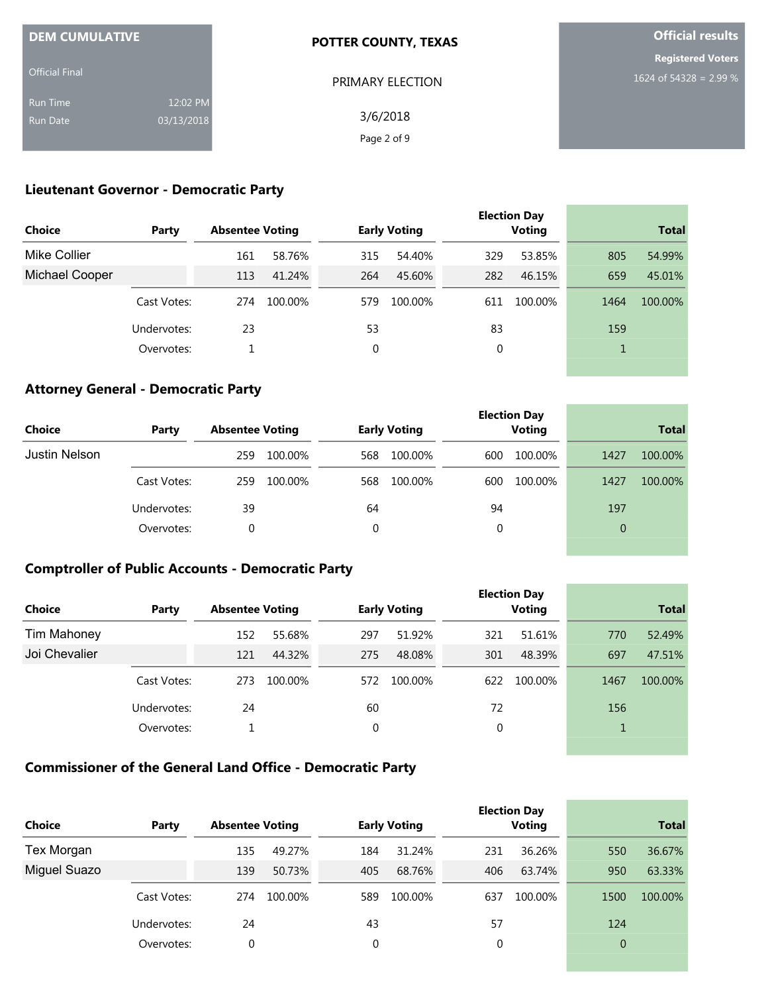| <b>DEM CUMULATIVE</b> |            | <b>POTTER COUNTY, TEXAS</b> | <b>Official results</b>  |
|-----------------------|------------|-----------------------------|--------------------------|
|                       |            |                             | <b>Registered Voters</b> |
| <b>Official Final</b> |            | PRIMARY ELECTION            | 1624 of 54328 = 2.99 %   |
| <b>Run Time</b>       | 12:02 PM   |                             |                          |
| <b>Run Date</b>       | 03/13/2018 | 3/6/2018                    |                          |
|                       |            | Page 2 of 9                 |                          |

## **Lieutenant Governor - Democratic Party**

|                |             |                        |         |              |                     |     | <b>Election Day</b> |      |              |
|----------------|-------------|------------------------|---------|--------------|---------------------|-----|---------------------|------|--------------|
| <b>Choice</b>  | Party       | <b>Absentee Voting</b> |         |              | <b>Early Voting</b> |     | <b>Voting</b>       |      | <b>Total</b> |
| Mike Collier   |             | 161                    | 58.76%  | 315          | 54.40%              | 329 | 53.85%              | 805  | 54.99%       |
| Michael Cooper |             | 113                    | 41.24%  | 264          | 45.60%              | 282 | 46.15%              | 659  | 45.01%       |
|                | Cast Votes: | 274                    | 100.00% | 579          | 100.00%             | 611 | 100.00%             | 1464 | 100.00%      |
|                | Undervotes: | 23                     |         | 53           |                     | 83  |                     | 159  |              |
|                | Overvotes:  |                        |         | $\mathbf{0}$ |                     | 0   |                     |      |              |
|                |             |                        |         |              |                     |     |                     |      |              |

## **Attorney General - Democratic Party**

|               |             |                        |         |             |                     |     | <b>Election Day</b> |                |              |
|---------------|-------------|------------------------|---------|-------------|---------------------|-----|---------------------|----------------|--------------|
| <b>Choice</b> | Party       | <b>Absentee Voting</b> |         |             | <b>Early Voting</b> |     | <b>Voting</b>       |                | <b>Total</b> |
| Justin Nelson |             | 259                    | 100.00% | 568         | 100.00%             | 600 | 100.00%             | 1427           | 100.00%      |
|               | Cast Votes: | 259                    | 100.00% | 568         | 100.00%             | 600 | 100.00%             | 1427           | 100.00%      |
|               | Undervotes: | 39                     |         | 64          |                     | 94  |                     | 197            |              |
|               | Overvotes:  | 0                      |         | $\mathbf 0$ |                     | 0   |                     | $\overline{0}$ |              |
|               |             |                        |         |             |                     |     |                     |                |              |

the control of the control of the control of

**College** 

## **Comptroller of Public Accounts - Democratic Party**

| Choice             | Party       | <b>Absentee Voting</b> |         |     | <b>Early Voting</b> |     | <b>Election Day</b><br><b>Voting</b> |      | <b>Total</b> |
|--------------------|-------------|------------------------|---------|-----|---------------------|-----|--------------------------------------|------|--------------|
| <b>Tim Mahoney</b> |             | 152                    | 55.68%  | 297 | 51.92%              | 321 | 51.61%                               | 770  | 52.49%       |
| Joi Chevalier      |             | 121                    | 44.32%  | 275 | 48.08%              | 301 | 48.39%                               | 697  | 47.51%       |
|                    | Cast Votes: | 273                    | 100.00% | 572 | 100.00%             | 622 | 100.00%                              | 1467 | 100.00%      |
|                    | Undervotes: | 24                     |         | 60  |                     | 72  |                                      | 156  |              |
|                    | Overvotes:  |                        |         | 0   |                     | 0   |                                      |      |              |

## **Commissioner of the General Land Office - Democratic Party**

| <b>Choice</b> | Party       | <b>Absentee Voting</b> |         |     | <b>Early Voting</b> |     | <b>Election Day</b><br><b>Voting</b> |                | <b>Total</b> |
|---------------|-------------|------------------------|---------|-----|---------------------|-----|--------------------------------------|----------------|--------------|
| Tex Morgan    |             | 135                    | 49.27%  | 184 | 31.24%              | 231 | 36.26%                               | 550            | 36.67%       |
| Miguel Suazo  |             | 139                    | 50.73%  | 405 | 68.76%              | 406 | 63.74%                               | 950            | 63.33%       |
|               | Cast Votes: | 274                    | 100.00% | 589 | 100.00%             | 637 | 100.00%                              | 1500           | 100.00%      |
|               | Undervotes: | 24                     |         | 43  |                     | 57  |                                      | 124            |              |
|               | Overvotes:  | 0                      |         | 0   |                     | 0   |                                      | $\overline{0}$ |              |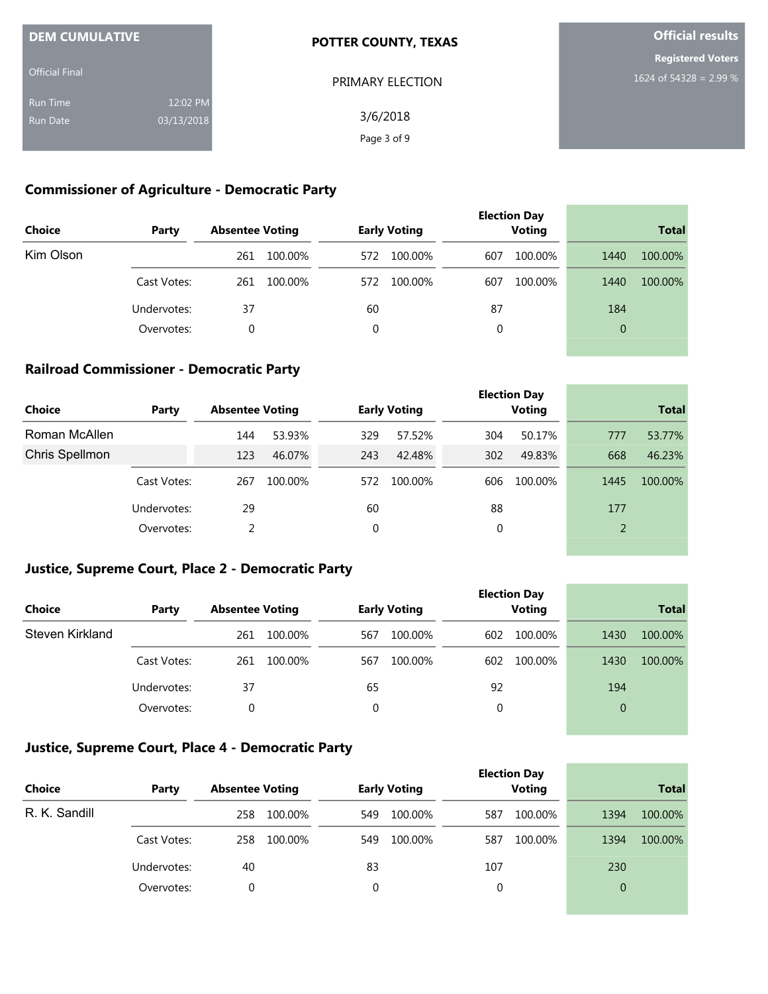| <b>DEM CUMULATIVE</b> |            | <b>POTTER COUNTY, TEXAS</b> | <b>Official results</b>  |
|-----------------------|------------|-----------------------------|--------------------------|
|                       |            |                             | <b>Registered Voters</b> |
| <b>Official Final</b> |            | PRIMARY ELECTION            | 1624 of 54328 = 2.99 %   |
| <b>Run Time</b>       | 12:02 PM   |                             |                          |
| <b>Run Date</b>       | 03/13/2018 | 3/6/2018                    |                          |
|                       |            | Page 3 of 9                 |                          |

#### **Commissioner of Agriculture - Democratic Party**

| <b>Choice</b> | Party       | <b>Absentee Voting</b> |         |     | <b>Early Voting</b> |     | <b>Election Day</b><br><b>Voting</b> |                | <b>Total</b> |
|---------------|-------------|------------------------|---------|-----|---------------------|-----|--------------------------------------|----------------|--------------|
| Kim Olson     |             | 261                    | 100.00% | 572 | 100.00%             | 607 | 100.00%                              | 1440           | 100.00%      |
|               | Cast Votes: | 261                    | 100.00% | 572 | 100.00%             | 607 | 100.00%                              | 1440           | 100.00%      |
|               | Undervotes: | 37                     |         | 60  |                     | 87  |                                      | 184            |              |
|               | Overvotes:  | 0                      |         | 0   |                     | 0   |                                      | $\overline{0}$ |              |
|               |             |                        |         |     |                     |     |                                      |                |              |

## **Railroad Commissioner - Democratic Party**

| Choice         | Party       | <b>Absentee Voting</b> |         |     | <b>Early Voting</b> |     | <b>Election Day</b><br><b>Voting</b> |                | <b>Total</b> |
|----------------|-------------|------------------------|---------|-----|---------------------|-----|--------------------------------------|----------------|--------------|
| Roman McAllen  |             | 144                    | 53.93%  | 329 | 57.52%              | 304 | 50.17%                               | 777            | 53.77%       |
| Chris Spellmon |             | 123                    | 46.07%  | 243 | 42.48%              | 302 | 49.83%                               | 668            | 46.23%       |
|                | Cast Votes: | 267                    | 100.00% | 572 | 100.00%             | 606 | 100.00%                              | 1445           | 100.00%      |
|                | Undervotes: | 29                     |         | 60  |                     | 88  |                                      | 177            |              |
|                | Overvotes:  | 2                      |         | 0   |                     | 0   |                                      | $\overline{2}$ |              |
|                |             |                        |         |     |                     |     |                                      |                |              |

and the control of the control of the

the control of the control of the control of the control of the control of

\_\_\_\_\_\_\_

## **Justice, Supreme Court, Place 2 - Democratic Party**

| <b>Choice</b>   | Party       | <b>Absentee Voting</b> |         |     | <b>Early Voting</b> |     | <b>Election Day</b><br><b>Voting</b> |              | <b>Total</b> |
|-----------------|-------------|------------------------|---------|-----|---------------------|-----|--------------------------------------|--------------|--------------|
| Steven Kirkland |             | 261                    | 100.00% | 567 | 100.00%             | 602 | 100.00%                              | 1430         | 100.00%      |
|                 | Cast Votes: | 261                    | 100.00% | 567 | 100.00%             | 602 | 100.00%                              | 1430         | 100.00%      |
|                 | Undervotes: | 37                     |         | 65  |                     | 92  |                                      | 194          |              |
|                 | Overvotes:  | 0                      |         | 0   |                     | 0   |                                      | $\mathbf{0}$ |              |
|                 |             |                        |         |     |                     |     |                                      |              |              |

## **Justice, Supreme Court, Place 4 - Democratic Party**

| <b>Choice</b> | Party       | <b>Absentee Voting</b> | <b>Early Voting</b> | <b>Election Day</b><br><b>Voting</b> | <b>Total</b>    |  |
|---------------|-------------|------------------------|---------------------|--------------------------------------|-----------------|--|
| R. K. Sandill |             | 258<br>100.00%         | 100.00%<br>549      | 100.00%<br>587                       | 100.00%<br>1394 |  |
|               | Cast Votes: | 100.00%<br>258         | 100.00%<br>549      | 100.00%<br>587                       | 100.00%<br>1394 |  |
|               | Undervotes: | 40                     | 83                  | 107                                  | 230             |  |
|               | Overvotes:  | 0                      | 0                   | 0                                    | $\overline{0}$  |  |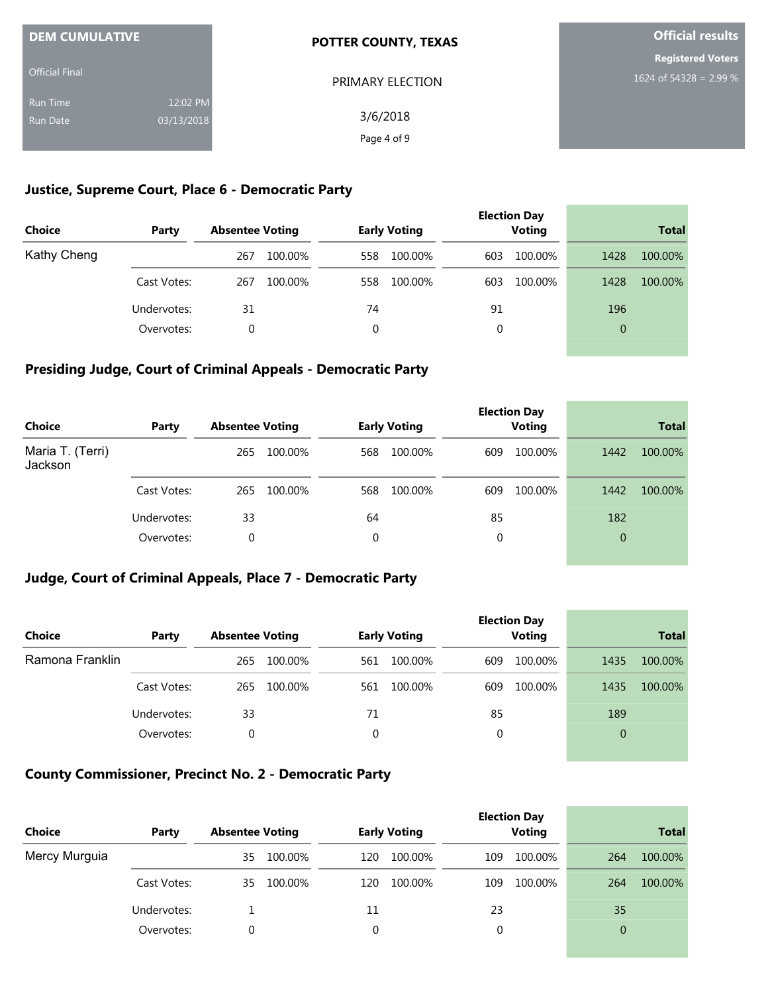| <b>DEM CUMULATIVE</b> |            | <b>POTTER COUNTY, TEXAS</b> | <b>Official results</b><br><b>Registered Voters</b> |  |  |
|-----------------------|------------|-----------------------------|-----------------------------------------------------|--|--|
|                       |            |                             |                                                     |  |  |
| <b>Official Final</b> |            | PRIMARY ELECTION            | 1624 of 54328 = 2.99 %                              |  |  |
| <b>Run Time</b>       | 12:02 PM   |                             |                                                     |  |  |
| <b>Run Date</b>       | 03/13/2018 | 3/6/2018                    |                                                     |  |  |
|                       |            | Page 4 of 9                 |                                                     |  |  |

#### **Justice, Supreme Court, Place 6 - Democratic Party**

| Choice      | Party       | <b>Absentee Voting</b> | <b>Early Voting</b> | <b>Election Day</b><br><b>Voting</b> | <b>Total</b>    |
|-------------|-------------|------------------------|---------------------|--------------------------------------|-----------------|
| Kathy Cheng |             | 100.00%<br>267         | 100.00%<br>558      | 100.00%<br>603                       | 100.00%<br>1428 |
|             | Cast Votes: | 267<br>100.00%         | 100.00%<br>558      | 100.00%<br>603                       | 1428<br>100.00% |
|             | Undervotes: | 31                     | 74                  | 91                                   | 196             |
|             | Overvotes:  | 0                      | 0                   | 0                                    | 0               |

### **Presiding Judge, Court of Criminal Appeals - Democratic Party**

| <b>Choice</b>               | Party       | <b>Absentee Voting</b> |         | <b>Early Voting</b> |         |     | <b>Election Day</b><br><b>Voting</b> |                | <b>Total</b> |
|-----------------------------|-------------|------------------------|---------|---------------------|---------|-----|--------------------------------------|----------------|--------------|
| Maria T. (Terri)<br>Jackson |             | 265                    | 100.00% | 568                 | 100.00% | 609 | 100.00%                              | 1442           | 100.00%      |
|                             | Cast Votes: | 265                    | 100.00% | 568                 | 100.00% | 609 | 100.00%                              | 1442           | 100.00%      |
|                             | Undervotes: | 33                     |         | 64                  |         | 85  |                                      | 182            |              |
|                             | Overvotes:  | 0                      |         | 0                   |         | 0   |                                      | $\overline{0}$ |              |

## **Judge, Court of Criminal Appeals, Place 7 - Democratic Party**

| Choice          | Party       | <b>Absentee Voting</b> | <b>Early Voting</b> | <b>Election Day</b><br><b>Voting</b> | <b>Total</b>    |
|-----------------|-------------|------------------------|---------------------|--------------------------------------|-----------------|
| Ramona Franklin |             | 100.00%<br>265         | 100.00%<br>561      | 100.00%<br>609                       | 100.00%<br>1435 |
|                 | Cast Votes: | 100.00%<br>265         | 100.00%<br>561      | 100.00%<br>609                       | 100.00%<br>1435 |
|                 | Undervotes: | 33                     | 71                  | 85                                   | 189             |
|                 | Overvotes:  | 0                      | 0                   | 0                                    | $\overline{0}$  |

#### **County Commissioner, Precinct No. 2 - Democratic Party**

| <b>Choice</b> | Party       | <b>Absentee Voting</b> | <b>Early Voting</b> | <b>Election Day</b><br><b>Voting</b> | <b>Total</b>   |
|---------------|-------------|------------------------|---------------------|--------------------------------------|----------------|
| Mercy Murguia |             | 100.00%<br>35          | 100.00%<br>120      | 100.00%<br>109                       | 100.00%<br>264 |
|               | Cast Votes: | 100.00%<br>35          | 100.00%<br>120      | 100.00%<br>109                       | 100.00%<br>264 |
|               | Undervotes: |                        | 11                  | 23                                   | 35             |
|               | Overvotes:  | 0                      |                     | 0                                    | $\overline{0}$ |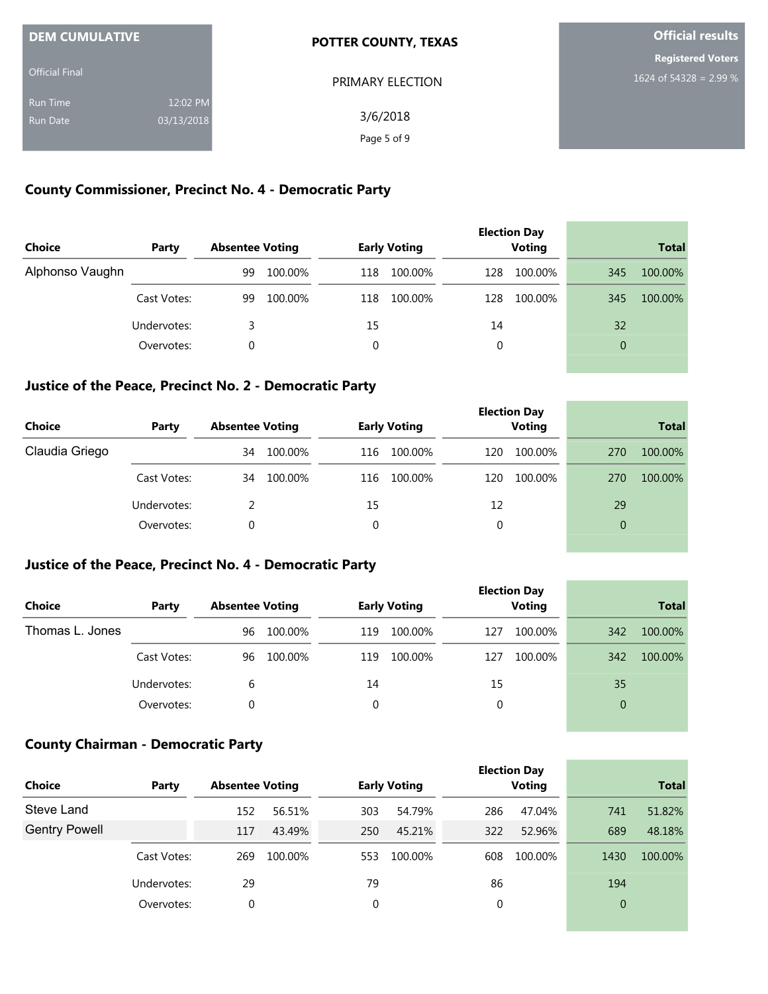| <b>DEM CUMULATIVE</b> |            | <b>POTTER COUNTY, TEXAS</b> | <b>Official results</b>  |
|-----------------------|------------|-----------------------------|--------------------------|
|                       |            |                             | <b>Registered Voters</b> |
| <b>Official Final</b> |            | PRIMARY ELECTION            | 1624 of 54328 = 2.99 %   |
| <b>Run Time</b>       | 12:02 PM   |                             |                          |
| <b>Run Date</b>       | 03/13/2018 | 3/6/2018                    |                          |
|                       |            | Page 5 of 9                 |                          |

## **County Commissioner, Precinct No. 4 - Democratic Party**

| Choice          | Party       | <b>Absentee Voting</b> |         |     | <b>Early Voting</b> |     | <b>Election Day</b><br><b>Voting</b> |                | <b>Total</b> |
|-----------------|-------------|------------------------|---------|-----|---------------------|-----|--------------------------------------|----------------|--------------|
| Alphonso Vaughn |             | 99                     | 100.00% | 118 | 100.00%             | 128 | 100.00%                              | 345            | 100.00%      |
|                 | Cast Votes: | 99                     | 100.00% | 118 | 100.00%             | 128 | 100.00%                              | 345            | 100.00%      |
|                 | Undervotes: | 3                      |         | 15  |                     | 14  |                                      | 32             |              |
|                 | Overvotes:  | 0                      |         | 0   |                     | 0   |                                      | $\overline{0}$ |              |
|                 |             |                        |         |     |                     |     |                                      |                |              |

#### **Justice of the Peace, Precinct No. 2 - Democratic Party**

| <b>Choice</b>  | Party       | <b>Absentee Voting</b> |         |     | <b>Early Voting</b> |     | <b>Election Day</b><br><b>Voting</b> |                | <b>Total</b> |
|----------------|-------------|------------------------|---------|-----|---------------------|-----|--------------------------------------|----------------|--------------|
| Claudia Griego |             | 34                     | 100.00% | 116 | 100.00%             | 120 | 100.00%                              | 270            | 100.00%      |
|                | Cast Votes: | 34                     | 100.00% | 116 | 100.00%             | 120 | 100.00%                              | 270            | 100.00%      |
|                | Undervotes: |                        |         | 15  |                     | 12  |                                      | 29             |              |
|                | Overvotes:  | 0                      |         | 0   |                     | 0   |                                      | $\overline{0}$ |              |

## **Justice of the Peace, Precinct No. 4 - Democratic Party**

|                 |             |                        |         |     |                     |     | <b>Election Day</b> |                |              |
|-----------------|-------------|------------------------|---------|-----|---------------------|-----|---------------------|----------------|--------------|
| <b>Choice</b>   | Party       | <b>Absentee Voting</b> |         |     | <b>Early Voting</b> |     | <b>Voting</b>       |                | <b>Total</b> |
| Thomas L. Jones |             | 96                     | 100.00% | 119 | 100.00%             | 127 | 100.00%             | 342            | 100.00%      |
|                 | Cast Votes: | 96                     | 100.00% | 119 | 100.00%             | 127 | 100.00%             | 342            | 100.00%      |
|                 | Undervotes: | 6                      |         | 14  |                     | 15  |                     | 35             |              |
|                 | Overvotes:  | 0                      |         | 0   |                     | 0   |                     | $\overline{0}$ |              |

### **County Chairman - Democratic Party**

| <b>Choice</b>        | Party       | <b>Election Day</b><br><b>Voting</b><br><b>Early Voting</b><br><b>Absentee Voting</b> |         |     | <b>Total</b> |     |         |                |         |
|----------------------|-------------|---------------------------------------------------------------------------------------|---------|-----|--------------|-----|---------|----------------|---------|
| Steve Land           |             | 152                                                                                   | 56.51%  | 303 | 54.79%       | 286 | 47.04%  | 741            | 51.82%  |
| <b>Gentry Powell</b> |             | 117                                                                                   | 43.49%  | 250 | 45.21%       | 322 | 52.96%  | 689            | 48.18%  |
|                      | Cast Votes: | 269                                                                                   | 100.00% | 553 | 100.00%      | 608 | 100.00% | 1430           | 100.00% |
|                      | Undervotes: | 29                                                                                    |         | 79  |              | 86  |         | 194            |         |
|                      | Overvotes:  | 0                                                                                     |         |     |              | 0   |         | $\overline{0}$ |         |

and the control of the control of the control of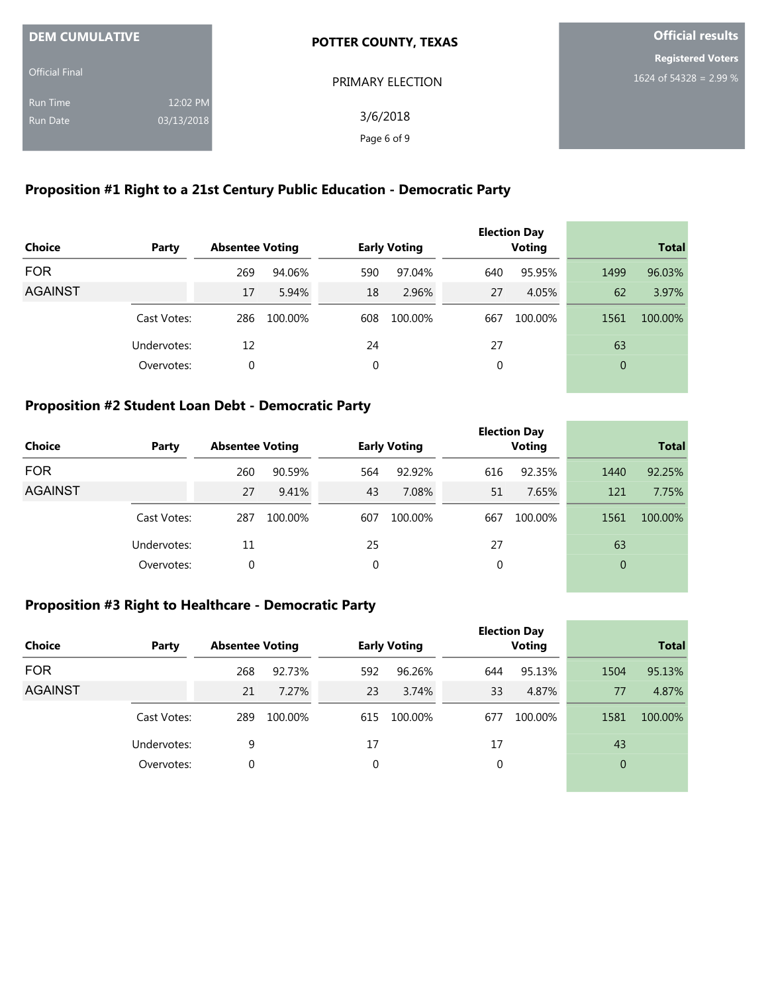| <b>DEM CUMULATIVE</b> |            | <b>POTTER COUNTY, TEXAS</b> | <b>Official results</b>  |
|-----------------------|------------|-----------------------------|--------------------------|
|                       |            |                             | <b>Registered Voters</b> |
| <b>Official Final</b> |            | PRIMARY ELECTION            | 1624 of 54328 = 2.99 %   |
| <b>Run Time</b>       | 12:02 PM   |                             |                          |
| <b>Run Date</b>       | 03/13/2018 | 3/6/2018                    |                          |
|                       |            | Page 6 of 9                 |                          |

## **Proposition #1 Right to a 21st Century Public Education - Democratic Party**

| <b>Choice</b>  | Party       | <b>Absentee Voting</b> |         |     | <b>Early Voting</b> |             | <b>Election Day</b><br><b>Voting</b> |          | <b>Total</b> |
|----------------|-------------|------------------------|---------|-----|---------------------|-------------|--------------------------------------|----------|--------------|
| <b>FOR</b>     |             | 269                    | 94.06%  | 590 | 97.04%              | 640         | 95.95%                               | 1499     | 96.03%       |
| <b>AGAINST</b> |             | 17                     | 5.94%   | 18  | 2.96%               | 27          | 4.05%                                | 62       | 3.97%        |
|                | Cast Votes: | 286                    | 100.00% | 608 | 100.00%             | 667         | 100.00%                              | 1561     | 100.00%      |
|                | Undervotes: | 12                     |         | 24  |                     | 27          |                                      | 63       |              |
|                | Overvotes:  | 0                      |         | 0   |                     | $\mathbf 0$ |                                      | $\theta$ |              |
|                |             |                        |         |     |                     |             |                                      |          |              |

## **Proposition #2 Student Loan Debt - Democratic Party**

| Choice         | Party       | <b>Absentee Voting</b> |         |     | <b>Early Voting</b> |     | <b>Election Day</b><br><b>Voting</b> |                | <b>Total</b> |
|----------------|-------------|------------------------|---------|-----|---------------------|-----|--------------------------------------|----------------|--------------|
| <b>FOR</b>     |             | 260                    | 90.59%  | 564 | 92.92%              | 616 | 92.35%                               | 1440           | 92.25%       |
| <b>AGAINST</b> |             | 27                     | 9.41%   | 43  | 7.08%               | 51  | 7.65%                                | 121            | 7.75%        |
|                | Cast Votes: | 287                    | 100.00% | 607 | 100.00%             | 667 | 100.00%                              | 1561           | 100.00%      |
|                | Undervotes: | 11                     |         | 25  |                     | 27  |                                      | 63             |              |
|                | Overvotes:  | 0                      |         | 0   |                     | 0   |                                      | $\overline{0}$ |              |

the control of the control of the control of

## **Proposition #3 Right to Healthcare - Democratic Party**

| Party       |     |         |                        |         |                     | <b>Voting</b> |                     | <b>Total</b> |
|-------------|-----|---------|------------------------|---------|---------------------|---------------|---------------------|--------------|
|             | 268 | 92.73%  | 592                    | 96.26%  | 644                 | 95.13%        | 1504                | 95.13%       |
|             | 21  | 7.27%   | 23                     | 3.74%   | 33                  | 4.87%         | 77                  | 4.87%        |
| Cast Votes: | 289 | 100.00% | 615                    | 100.00% | 677                 | 100.00%       | 1581                | 100.00%      |
| Undervotes: | 9   |         | 17                     |         | 17                  |               | 43                  |              |
| Overvotes:  | 0   |         | 0                      |         | 0                   |               | $\overline{0}$      |              |
|             |     |         | <b>Absentee Voting</b> |         | <b>Early Voting</b> |               | <b>Election Day</b> |              |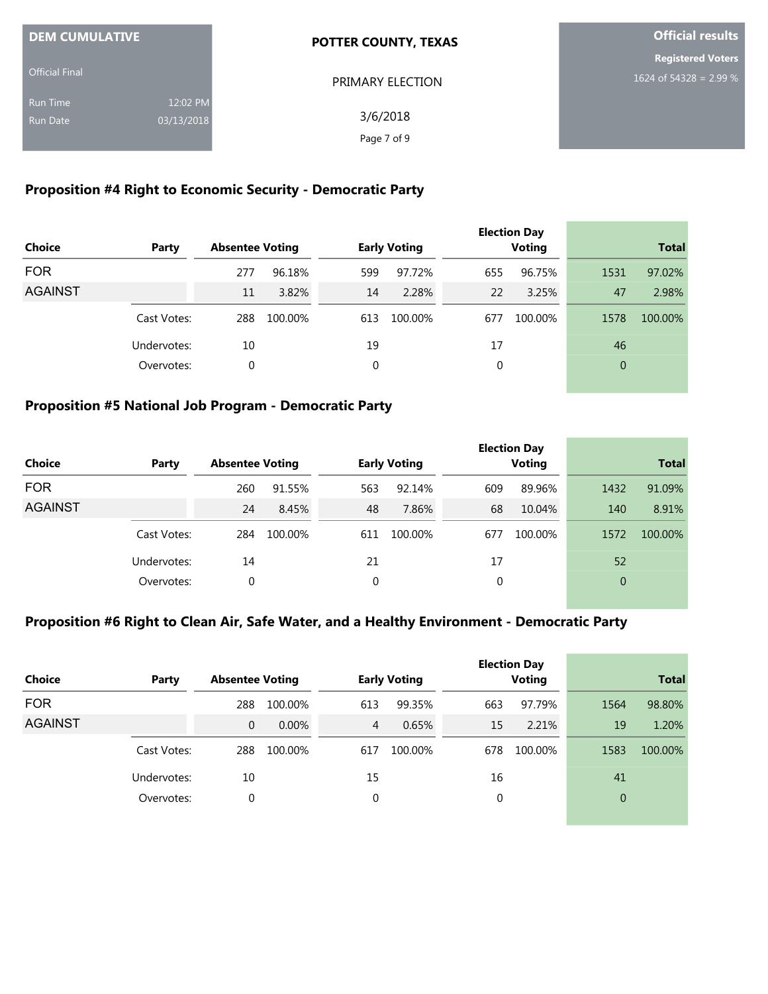| <b>DEM CUMULATIVE</b> |            | <b>POTTER COUNTY, TEXAS</b> | <b>Official results</b>  |
|-----------------------|------------|-----------------------------|--------------------------|
|                       |            |                             | <b>Registered Voters</b> |
| <b>Official Final</b> |            | PRIMARY ELECTION            | 1624 of 54328 = 2.99 %   |
| <b>Run Time</b>       | 12:02 PM   |                             |                          |
| <b>Run Date</b>       | 03/13/2018 | 3/6/2018                    |                          |
|                       |            | Page 7 of 9                 |                          |

## **Proposition #4 Right to Economic Security - Democratic Party**

| <b>Choice</b>  | Party       | <b>Absentee Voting</b> |         |     | <b>Early Voting</b> |     | <b>Election Day</b><br><b>Voting</b> |          | <b>Total</b> |
|----------------|-------------|------------------------|---------|-----|---------------------|-----|--------------------------------------|----------|--------------|
| <b>FOR</b>     |             | 277                    | 96.18%  | 599 | 97.72%              | 655 | 96.75%                               | 1531     | 97.02%       |
| <b>AGAINST</b> |             | 11                     | 3.82%   | 14  | 2.28%               | 22  | 3.25%                                | 47       | 2.98%        |
|                | Cast Votes: | 288                    | 100.00% | 613 | 100.00%             | 677 | 100.00%                              | 1578     | 100.00%      |
|                | Undervotes: | 10                     |         | 19  |                     | 17  |                                      | 46       |              |
|                | Overvotes:  | 0                      |         | 0   |                     | 0   |                                      | $\theta$ |              |

## **Proposition #5 National Job Program - Democratic Party**

| <b>Choice</b>  | Party       | <b>Absentee Voting</b> |         |     | <b>Early Voting</b> |     | <b>Election Day</b><br><b>Voting</b> |                | <b>Total</b> |
|----------------|-------------|------------------------|---------|-----|---------------------|-----|--------------------------------------|----------------|--------------|
| <b>FOR</b>     |             | 260                    | 91.55%  | 563 | 92.14%              | 609 | 89.96%                               | 1432           | 91.09%       |
| <b>AGAINST</b> |             | 24                     | 8.45%   | 48  | 7.86%               | 68  | 10.04%                               | 140            | 8.91%        |
|                | Cast Votes: | 284                    | 100.00% | 611 | 100.00%             | 677 | 100.00%                              | 1572           | 100.00%      |
|                | Undervotes: | 14                     |         | 21  |                     | 17  |                                      | 52             |              |
|                | Overvotes:  | 0                      |         | 0   |                     | 0   |                                      | $\overline{0}$ |              |

### **Proposition #6 Right to Clean Air, Safe Water, and a Healthy Environment - Democratic Party**

| <b>Choice</b>  | Party       | <b>Absentee Voting</b> |         |                | <b>Early Voting</b> |     | <b>Election Day</b><br><b>Voting</b> |                | <b>Total</b> |
|----------------|-------------|------------------------|---------|----------------|---------------------|-----|--------------------------------------|----------------|--------------|
| <b>FOR</b>     |             | 288                    | 100.00% | 613            | 99.35%              | 663 | 97.79%                               | 1564           | 98.80%       |
| <b>AGAINST</b> |             | 0                      | 0.00%   | $\overline{4}$ | 0.65%               | 15  | 2.21%                                | 19             | 1.20%        |
|                | Cast Votes: | 288                    | 100.00% | 617            | 100.00%             | 678 | 100.00%                              | 1583           | 100.00%      |
|                | Undervotes: | 10                     |         | 15             |                     | 16  |                                      | 41             |              |
|                | Overvotes:  | 0                      |         | 0              |                     | 0   |                                      | $\overline{0}$ |              |
|                |             |                        |         |                |                     |     |                                      |                |              |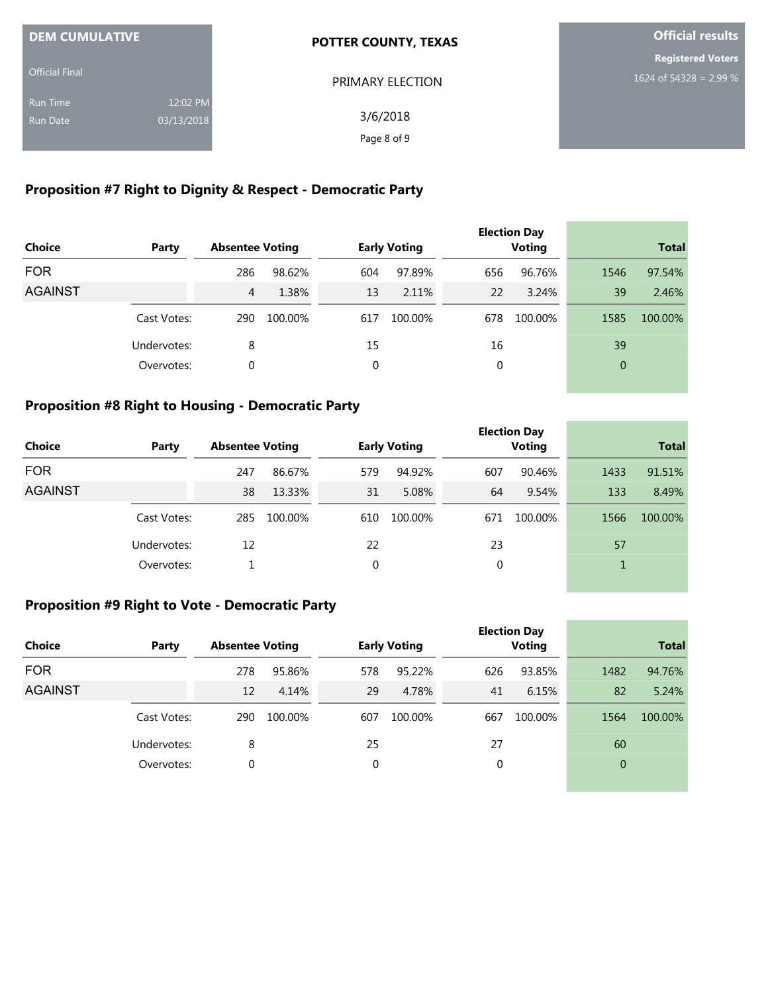| <b>DEM CUMULATIVE</b> |            | <b>POTTER COUNTY, TEXAS</b> | <b>Official results</b>  |
|-----------------------|------------|-----------------------------|--------------------------|
|                       |            |                             | <b>Registered Voters</b> |
| <b>Official Final</b> |            | PRIMARY ELECTION            | 1624 of 54328 = 2.99 %   |
| <b>Run Time</b>       | 12:02 PM   |                             |                          |
| <b>Run Date</b>       | 03/13/2018 | 3/6/2018                    |                          |
|                       |            | Page 8 of 9                 |                          |

## **Proposition #7 Right to Dignity & Respect - Democratic Party**

| <b>Choice</b>  | Party       | <b>Absentee Voting</b> |         |     | <b>Early Voting</b> |     | <b>Election Day</b><br><b>Voting</b> |              | <b>Total</b> |
|----------------|-------------|------------------------|---------|-----|---------------------|-----|--------------------------------------|--------------|--------------|
| <b>FOR</b>     |             | 286                    | 98.62%  | 604 | 97.89%              | 656 | 96.76%                               | 1546         | 97.54%       |
| <b>AGAINST</b> |             | 4                      | 1.38%   | 13  | 2.11%               | 22  | 3.24%                                | 39           | 2.46%        |
|                | Cast Votes: | 290                    | 100.00% | 617 | 100.00%             | 678 | 100.00%                              | 1585         | 100.00%      |
|                | Undervotes: | 8                      |         | 15  |                     | 16  |                                      | 39           |              |
|                | Overvotes:  | 0                      |         | 0   |                     | 0   |                                      | $\mathbf{0}$ |              |
|                |             |                        |         |     |                     |     |                                      |              |              |

## **Proposition #8 Right to Housing - Democratic Party**

| <b>Choice</b>  | Party       | <b>Absentee Voting</b> |         |     | <b>Early Voting</b> |     | <b>Election Day</b><br><b>Voting</b> |      | <b>Total</b> |
|----------------|-------------|------------------------|---------|-----|---------------------|-----|--------------------------------------|------|--------------|
| <b>FOR</b>     |             | 247                    | 86.67%  | 579 | 94.92%              | 607 | 90.46%                               | 1433 | 91.51%       |
| <b>AGAINST</b> |             | 38                     | 13.33%  | 31  | 5.08%               | 64  | 9.54%                                | 133  | 8.49%        |
|                | Cast Votes: | 285                    | 100.00% | 610 | 100.00%             | 671 | 100.00%                              | 1566 | 100.00%      |
|                | Undervotes: | 12                     |         | 22  |                     | 23  |                                      | 57   |              |
|                | Overvotes:  |                        |         | 0   |                     | 0   |                                      |      |              |

the control of the control of the con-

## **Proposition #9 Right to Vote - Democratic Party**

|                |             |                        |         |     |                     |             | <b>Election Day</b> |                |         |
|----------------|-------------|------------------------|---------|-----|---------------------|-------------|---------------------|----------------|---------|
| <b>Choice</b>  | Party       | <b>Absentee Voting</b> |         |     | <b>Early Voting</b> |             | <b>Voting</b>       | <b>Total</b>   |         |
| <b>FOR</b>     |             | 278                    | 95.86%  | 578 | 95.22%              | 626         | 93.85%              | 1482           | 94.76%  |
| <b>AGAINST</b> |             | 12                     | 4.14%   | 29  | 4.78%               | 41          | 6.15%               | 82             | 5.24%   |
|                | Cast Votes: | 290                    | 100.00% | 607 | 100.00%             | 667         | 100.00%             | 1564           | 100.00% |
|                | Undervotes: | 8                      |         | 25  |                     | 27          |                     | 60             |         |
|                | Overvotes:  | 0                      |         | 0   |                     | $\mathbf 0$ |                     | $\overline{0}$ |         |
|                |             |                        |         |     |                     |             |                     |                |         |